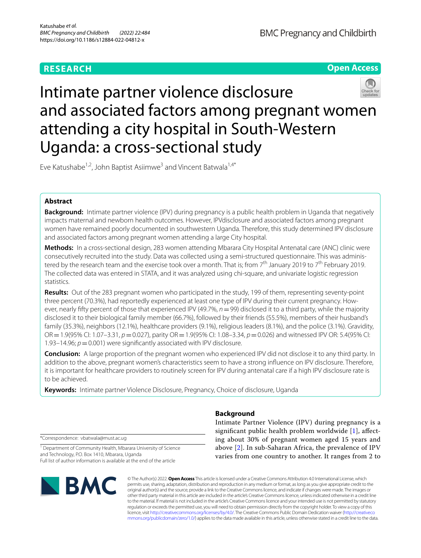# **RESEARCH**

**Open Access**

# Intimate partner violence disclosure and associated factors among pregnant women attending a city hospital in South-Western Uganda: a cross-sectional study

Eve Katushabe<sup>1,2</sup>, John Baptist Asiimwe<sup>3</sup> and Vincent Batwala<sup>1,4\*</sup>

# **Abstract**

**Background:** Intimate partner violence (IPV) during pregnancy is a public health problem in Uganda that negatively impacts maternal and newborn health outcomes. However, IPVdisclosure and associated factors among pregnant women have remained poorly documented in southwestern Uganda. Therefore, this study determined IPV disclosure and associated factors among pregnant women attending a large City hospital.

**Methods:** In a cross-sectional design, 283 women attending Mbarara City Hospital Antenatal care (ANC) clinic were consecutively recruited into the study. Data was collected using a semi-structured questionnaire. This was administered by the research team and the exercise took over a month. That is; from  $7^{th}$  January 2019 to  $7^{th}$  February 2019. The collected data was entered in STATA, and it was analyzed using chi-square, and univariate logistic regression statistics.

**Results:** Out of the 283 pregnant women who participated in the study, 199 of them, representing seventy-point three percent (70.3%), had reportedly experienced at least one type of IPV during their current pregnancy. However, nearly ffty percent of those that experienced IPV (49.7%, *n*=99) disclosed it to a third party, while the majority disclosed it to their biological family member (66.7%), followed by their friends (55.5%), members of their husband's family (35.3%), neighbors (12.1%), healthcare providers (9.1%), religious leaders (8.1%), and the police (3.1%). Gravidity, OR=1.9(95% CI: 1.07–3.31, *p*=0.027), parity OR=1.9(95% CI: 1.08–3.34, *p*=0.026) and witnessed IPV OR: 5.4(95% CI: 1.93–14.96;  $p=0.001$ ) were significantly associated with IPV disclosure.

**Conclusion:** A large proportion of the pregnant women who experienced IPV did not disclose it to any third party. In addition to the above, pregnant women's characteristics seem to have a strong infuence on IPV disclosure. Therefore, it is important for healthcare providers to routinely screen for IPV during antenatal care if a high IPV disclosure rate is to be achieved.

**Keywords:** Intimate partner Violence Disclosure, Pregnancy, Choice of disclosure, Uganda

\*Correspondence: vbatwala@must.ac.ug

<sup>1</sup> Department of Community Health, Mbarara University of Science and Technology, P.O. Box 1410, Mbarara, Uganda Full list of author information is available at the end of the article



# **Background**

Intimate Partner Violence (IPV) during pregnancy is a signifcant public health problem worldwide [\[1\]](#page-7-0), afecting about 30% of pregnant women aged 15 years and above [\[2](#page-7-1)]. In sub-Saharan Africa, the prevalence of IPV varies from one country to another. It ranges from 2 to

© The Author(s) 2022. **Open Access** This article is licensed under a Creative Commons Attribution 4.0 International License, which permits use, sharing, adaptation, distribution and reproduction in any medium or format, as long as you give appropriate credit to the original author(s) and the source, provide a link to the Creative Commons licence, and indicate if changes were made. The images or other third party material in this article are included in the article's Creative Commons licence, unless indicated otherwise in a credit line to the material. If material is not included in the article's Creative Commons licence and your intended use is not permitted by statutory regulation or exceeds the permitted use, you will need to obtain permission directly from the copyright holder. To view a copy of this licence, visit [http://creativecommons.org/licenses/by/4.0/.](http://creativecommons.org/licenses/by/4.0/) The Creative Commons Public Domain Dedication waiver ([http://creativeco](http://creativecommons.org/publicdomain/zero/1.0/) [mmons.org/publicdomain/zero/1.0/](http://creativecommons.org/publicdomain/zero/1.0/)) applies to the data made available in this article, unless otherwise stated in a credit line to the data.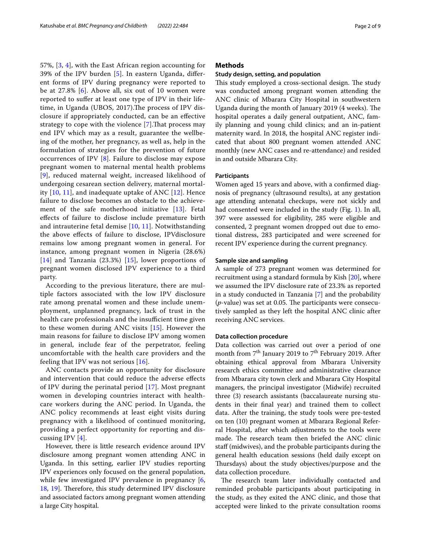57%, [\[3](#page-7-2), [4\]](#page-7-3), with the East African region accounting for 39% of the IPV burden [\[5](#page-7-4)]. In eastern Uganda, diferent forms of IPV during pregnancy were reported to be at 27.8% [[6](#page-7-5)]. Above all, six out of 10 women were reported to sufer at least one type of IPV in their lifetime, in Uganda (UBOS, 2017). The process of IPV disclosure if appropriately conducted, can be an efective strategy to cope with the violence [[7\]](#page-7-6).Tat process may end IPV which may as a result, guarantee the wellbeing of the mother, her pregnancy, as well as, help in the formulation of strategies for the prevention of future occurrences of IPV [[8\]](#page-7-7). Failure to disclose may expose pregnant women to maternal mental health problems [[9](#page-7-8)], reduced maternal weight, increased likelihood of undergoing cesarean section delivery, maternal mortality [[10,](#page-7-9) [11\]](#page-7-10), and inadequate uptake of ANC [\[12](#page-7-11)]. Hence failure to disclose becomes an obstacle to the achievement of the safe motherhood initiative [[13](#page-7-12)]. Fetal efects of failure to disclose include premature birth and intrauterine fetal demise [\[10,](#page-7-9) [11\]](#page-7-10). Notwithstanding the above efects of failure to disclose, IPVdisclosure remains low among pregnant women in general. For instance, among pregnant women in Nigeria (28.6%)  $[14]$  $[14]$  $[14]$  and Tanzania (23.3%)  $[15]$ , lower proportions of pregnant women disclosed IPV experience to a third party.

According to the previous literature, there are multiple factors associated with the low IPV disclosure rate among prenatal women and these include unemployment, unplanned pregnancy, lack of trust in the health care professionals and the insufficient time given to these women during ANC visits [[15](#page-7-14)]. However the main reasons for failure to disclose IPV among women in general, include fear of the perpetrator, feeling uncomfortable with the health care providers and the feeling that IPV was not serious [[16](#page-7-15)].

ANC contacts provide an opportunity for disclosure and intervention that could reduce the adverse efects of IPV during the perinatal period [\[17](#page-8-0)]. Most pregnant women in developing countries interact with healthcare workers during the ANC period. In Uganda, the ANC policy recommends at least eight visits during pregnancy with a likelihood of continued monitoring, providing a perfect opportunity for reporting and discussing IPV [\[4](#page-7-3)].

However, there is little research evidence around IPV disclosure among pregnant women attending ANC in Uganda. In this setting, earlier IPV studies reporting IPV experiences only focused on the general population, while few investigated IPV prevalence in pregnancy [\[6](#page-7-5), [18,](#page-8-1) [19\]](#page-8-2). Therefore, this study determined IPV disclosure and associated factors among pregnant women attending a large City hospital.

## **Methods**

#### **Study design, setting, and population**

This study employed a cross-sectional design. The study was conducted among pregnant women attending the ANC clinic of Mbarara City Hospital in southwestern Uganda during the month of January 2019 (4 weeks). The hospital operates a daily general outpatient, ANC, family planning and young child clinics; and an in-patient maternity ward. In 2018, the hospital ANC register indicated that about 800 pregnant women attended ANC monthly (new ANC cases and re-attendance) and resided in and outside Mbarara City.

#### **Participants**

Women aged 15 years and above, with a confrmed diagnosis of pregnancy (ultrasound results), at any gestation age attending antenatal checkups, were not sickly and had consented were included in the study (Fig. [1\)](#page-2-0). In all, 397 were assessed for eligibility, 285 were eligible and consented, 2 pregnant women dropped out due to emotional distress, 283 participated and were screened for recent IPV experience during the current pregnancy.

## **Sample size and sampling**

A sample of 273 pregnant women was determined for recruitment using a standard formula by Kish [\[20\]](#page-8-3), where we assumed the IPV disclosure rate of 23.3% as reported in a study conducted in Tanzania [[7\]](#page-7-6) and the probability  $(p$ -value) was set at 0.05. The participants were consecutively sampled as they left the hospital ANC clinic after receiving ANC services.

#### **Data collection procedure**

Data collection was carried out over a period of one month from  $7<sup>th</sup>$  January 2019 to  $7<sup>th</sup>$  February 2019. After obtaining ethical approval from Mbarara University research ethics committee and administrative clearance from Mbarara city town clerk and Mbarara City Hospital managers, the principal investigator (Midwife) recruited three (3) research assistants (baccalaureate nursing students in their fnal year) and trained them to collect data. After the training, the study tools were pre-tested on ten (10) pregnant women at Mbarara Regional Referral Hospital, after which adjustments to the tools were made. The research team then briefed the ANC clinic staf (midwives), and the probable participants during the general health education sessions (held daily except on Thursdays) about the study objectives/purpose and the data collection procedure.

The research team later individually contacted and reminded probable participants about participating in the study, as they exited the ANC clinic, and those that accepted were linked to the private consultation rooms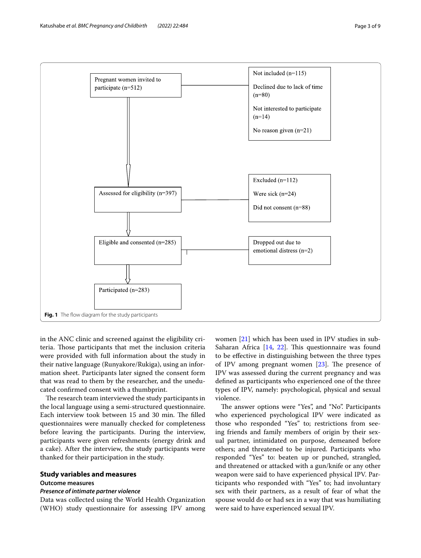

<span id="page-2-0"></span>in the ANC clinic and screened against the eligibility criteria. Those participants that met the inclusion criteria were provided with full information about the study in their native language (Runyakore/Rukiga), using an information sheet. Participants later signed the consent form that was read to them by the researcher, and the uneducated confrmed consent with a thumbprint.

The research team interviewed the study participants in the local language using a semi-structured questionnaire. Each interview took between 15 and 30 min. The filled questionnaires were manually checked for completeness before leaving the participants. During the interview, participants were given refreshments (energy drink and a cake). After the interview, the study participants were thanked for their participation in the study.

## **Study variables and measures**

#### **Outcome measures**

#### *Presence of intimate partner violence*

Data was collected using the World Health Organization (WHO) study questionnaire for assessing IPV among

women [\[21](#page-8-4)] which has been used in IPV studies in sub-Saharan Africa  $[14, 22]$  $[14, 22]$  $[14, 22]$  $[14, 22]$ . This questionnaire was found to be efective in distinguishing between the three types of IPV among pregnant women  $[23]$  $[23]$ . The presence of IPV was assessed during the current pregnancy and was defned as participants who experienced one of the three types of IPV, namely: psychological, physical and sexual violence.

The answer options were "Yes", and "No". Participants who experienced psychological IPV were indicated as those who responded "Yes" to; restrictions from seeing friends and family members of origin by their sexual partner, intimidated on purpose, demeaned before others; and threatened to be injured. Participants who responded "Yes" to: beaten up or punched, strangled, and threatened or attacked with a gun/knife or any other weapon were said to have experienced physical IPV. Participants who responded with "Yes" to; had involuntary sex with their partners, as a result of fear of what the spouse would do or had sex in a way that was humiliating were said to have experienced sexual IPV.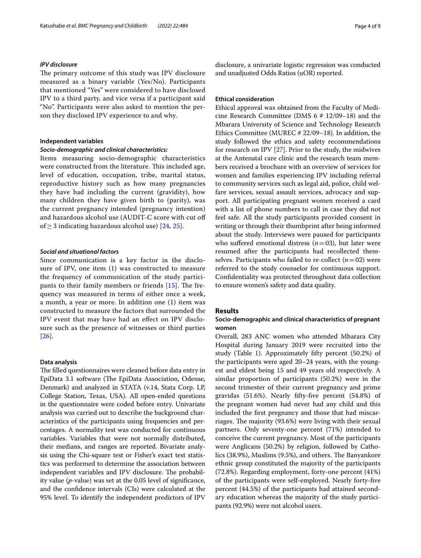#### *IPV disclosure*

The primary outcome of this study was IPV disclosure measured as a binary variable (Yes/No). Participants that mentioned "Yes" were considered to have disclosed IPV to a third party, and vice versa if a participant said "No". Participants were also asked to mention the person they disclosed IPV experience to and why.

## **Independent variables**

#### *Socio‑demographic and clinical characteristics:*

Items measuring socio-demographic characteristics were constructed from the literature. This included age, level of education, occupation, tribe, marital status, reproductive history such as how many pregnancies they have had including the current (gravidity), how many children they have given birth to (parity), was the current pregnancy intended (pregnancy intention) and hazardous alcohol use (AUDIT-C score with cut of of  $\geq$  3 indicating hazardous alcohol use) [[24,](#page-8-7) [25\]](#page-8-8).

### *Social and situational factors*

Since communication is a key factor in the disclosure of IPV, one item (1) was constructed to measure the frequency of communication of the study participants to their family members or friends  $[15]$  $[15]$ . The frequency was measured in terms of either once a week, a month, a year or more. In addition one (1) item was constructed to measure the factors that surrounded the IPV event that may have had an efect on IPV disclosure such as the presence of witnesses or third parties [[26](#page-8-9)].

#### **Data analysis**

The filled questionnaires were cleaned before data entry in EpiData 3.1 software (The EpiData Association, Odense, Denmark) and analyzed in STATA (v.14, Stata Corp. LP, College Station, Texas, USA). All open-ended questions in the questionnaire were coded before entry. Univariate analysis was carried out to describe the background characteristics of the participants using frequencies and percentages. A normality test was conducted for continuous variables. Variables that were not normally distributed, their medians, and ranges are reported. Bivariate analysis using the Chi-square test or Fisher's exact test statistics was performed to determine the association between independent variables and IPV disclosure. The probability value (*p*-value) was set at the 0.05 level of signifcance, and the confdence intervals (CIs) were calculated at the 95% level. To identify the independent predictors of IPV disclosure, a univariate logistic regression was conducted and unadjusted Odds Ratios (uOR) reported.

#### **Ethical consideration**

Ethical approval was obtained from the Faculty of Medicine Research Committee (DMS 6 # 12/09–18) and the Mbarara University of Science and Technology Research Ethics Committee (MUREC # 22/09–18). In addition, the study followed the ethics and safety recommendations for research on IPV [[27](#page-8-10)]. Prior to the study, the midwives at the Antenatal care clinic and the research team members received a brochure with an overview of services for women and families experiencing IPV including referral to community services such as legal aid, police, child welfare services, sexual assault services, advocacy and support. All participating pregnant women received a card with a list of phone numbers to call in case they did not feel safe. All the study participants provided consent in writing or through their thumbprint after being informed about the study. Interviews were paused for participants who suffered emotional distress  $(n=03)$ , but later were resumed after the participants had recollected themselves. Participants who failed to re-collect  $(n=02)$  were referred to the study counselor for continuous support. Confdentiality was protected throughout data collection to ensure women's safety and data quality.

#### **Results**

## **Socio‑demographic and clinical characteristics of pregnant women**

Overall, 283 ANC women who attended Mbarara City Hospital during January 2019 were recruited into the study (Table [1\)](#page-4-0). Approximately ffty percent (50.2%) of the participants were aged 20–24 years, with the youngest and eldest being 15 and 49 years old respectively. A similar proportion of participants (50.2%) were in the second trimester of their current pregnancy and prime gravidas (51.6%). Nearly ffty-fve percent (54.8%) of the pregnant women had never had any child and this included the frst pregnancy and those that had miscarriages. The majority (93.6%) were living with their sexual partners. Only seventy-one percent (71%) intended to conceive the current pregnancy. Most of the participants were Anglicans (50.2%) by religion, followed by Catholics (38.9%), Muslims (9.5%), and others. The Banyankore ethnic group constituted the majority of the participants (72.8%). Regarding employment, forty-one percent (41%) of the participants were self-employed. Nearly forty-fve percent (44.5%) of the participants had attained secondary education whereas the majority of the study participants (92.9%) were not alcohol users.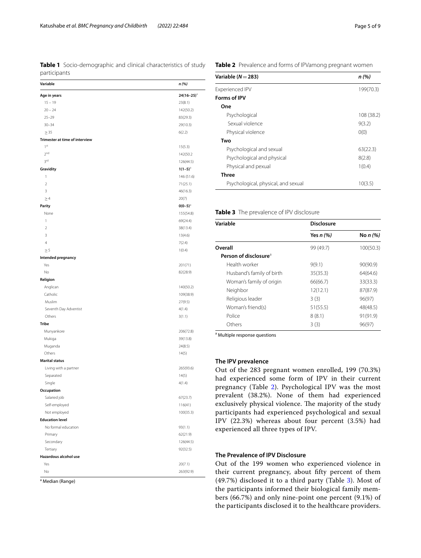<span id="page-4-0"></span>**Table 1** Socio-demographic and clinical characteristics of study participants

| Variable                       | n (%)           |
|--------------------------------|-----------------|
| Age in years                   | $24(16-25)^{3}$ |
| $15 - 19$                      | 23(8.1)         |
| $20 - 24$                      | 142(50.2)       |
| $25 - 29$                      | 83(29.3)        |
| $30 - 34$                      | 29(10.3)        |
| $\geq$ 35                      | 6(2.2)          |
| Trimester at time of interview |                 |
| 1 <sup>st</sup>                | 15(5.3)         |
| 2 <sup>nd</sup>                | 142(50.2        |
| 3 <sup>rd</sup>                | 126(44.5)       |
| Gravidity                      | $1(1-5)^a$      |
| 1                              | 146 (51.6)      |
| $\overline{2}$                 | 71(25.1)        |
| 3                              | 46(16.3)        |
| $\geq$ 4                       | 20(7)           |
| Parity                         | $0(0-5)^{a}$    |
| None                           | 155(54.8)       |
| 1                              | 69(24.4)        |
| $\overline{2}$                 | 38(13.4)        |
| 3                              | 13(4.6)         |
| 4                              | 7(2.4)          |
| $\geq$ 5                       | 1(0.4)          |
| Intended pregnancy             |                 |
| Yes                            | 201(71)         |
| No                             | 82(28.9)        |
| Religion                       |                 |
| Anglican                       | 140(50.2)       |
| Catholic                       | 109(38.9)       |
| Muslim                         | 27(9.5)         |
| Seventh Day Adventist          | 4(1.4)          |
| Others                         | 3(1.1)          |
| <b>Tribe</b>                   |                 |
| Munyankore                     | 206(72.8)       |
| Mukiga                         | 39(13.8)        |
| Muganda                        | 24(8.5)         |
| Others                         | 14(5)           |
| <b>Marital status</b>          |                 |
| Living with a partner          | 265(93.6)       |
| Separated                      | 14(5)           |
| Single                         | 4(1.4)          |
| Occupation                     |                 |
| Salaried job                   | 67(23.7)        |
| Self-employed                  | 116(41)         |
| Not employed                   | 100(35.3)       |
| <b>Education level</b>         |                 |
| No formal education            | 93(1.1)         |
| Primary                        | 62(21.9)        |
| Secondary                      | 126(44.5)       |
| Tertiary                       | 92(32.5)        |
| Hazardous alcohol use          |                 |
| Yes                            | 20(7.1)         |
| No                             | 263(92.9)       |

<sup>a</sup> Median (Range)

<span id="page-4-1"></span>

| Variable $(N=283)$                  | n(%)       |
|-------------------------------------|------------|
| <b>Experienced IPV</b>              | 199(70.3)  |
| Forms of IPV                        |            |
| One                                 |            |
| Psychological                       | 108 (38.2) |
| Sexual violence                     | 9(3.2)     |
| Physical violence                   | O(0)       |
| Two                                 |            |
| Psychological and sexual            | 63(22.3)   |
| Psychological and physical          | 8(2.8)     |
| Physical and pexual                 | 1(0.4)     |
| Three                               |            |
| Psychological, physical, and sexual | 10(3.5)    |

## <span id="page-4-2"></span>**Table 3** The prevalence of IPV disclosure

| Variable                          | <b>Disclosure</b> |            |  |  |
|-----------------------------------|-------------------|------------|--|--|
|                                   | Yes $n$ $(\%)$    | No $n$ (%) |  |  |
| Overall                           | 99 (49.7)         | 100(50.3)  |  |  |
| Person of disclosure <sup>a</sup> |                   |            |  |  |
| Health worker                     | 9(9.1)            | 90(90.9)   |  |  |
| Husband's family of birth         | 35(35.3)          | 64(64.6)   |  |  |
| Woman's family of origin          | 66(66.7)          | 33(33.3)   |  |  |
| Neighbor                          | 12(12.1)          | 87(87.9)   |  |  |
| Religious leader                  | 3(3)              | 96(97)     |  |  |
| Woman's friend(s)                 | 51(55.5)          | 48(48.5)   |  |  |
| Police                            | 8(8.1)            | 91(91.9)   |  |  |
| Others                            | 3(3)              | 96(97)     |  |  |

<sup>a</sup> Multiple response questions

## **The IPV prevalence**

Out of the 283 pregnant women enrolled, 199 (70.3%) had experienced some form of IPV in their current pregnancy (Table [2\)](#page-4-1). Psychological IPV was the most prevalent (38.2%). None of them had experienced exclusively physical violence. The majority of the study participants had experienced psychological and sexual IPV (22.3%) whereas about four percent (3.5%) had experienced all three types of IPV.

## **The Prevalence of IPV Disclosure**

Out of the 199 women who experienced violence in their current pregnancy, about ffty percent of them (49.7%) disclosed it to a third party (Table [3\)](#page-4-2). Most of the participants informed their biological family members (66.7%) and only nine-point one percent (9.1%) of the participants disclosed it to the healthcare providers.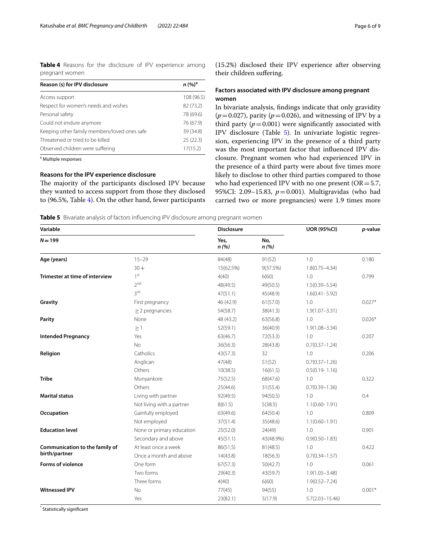<span id="page-5-0"></span>**Table 4** Reasons for the disclosure of IPV experience among pregnant women

| Reason (s) for IPV disclosure                | $n (%)^a$  |  |
|----------------------------------------------|------------|--|
| Access support                               | 108 (96.5) |  |
| Respect for women's needs and wishes         | 82 (73.2)  |  |
| Personal safety                              | 78 (69.6)  |  |
| Could not endure anymore                     | 76 (67.9)  |  |
| Keeping other family members/loved ones safe | 39 (34.8)  |  |
| Threatened or tried to be killed             | 25(22.3)   |  |
| Observed children were suffering             | 17(15.2)   |  |

<sup>a</sup> Multiple responses

#### **Reasons for the IPV experience disclosure**

The majority of the participants disclosed IPV because they wanted to access support from those they disclosed to (96.5%, Table [4](#page-5-0)). On the other hand, fewer participants (15.2%) disclosed their IPV experience after observing their children sufering.

## **Factors associated with IPV disclosure among pregnant women**

In bivariate analysis, fndings indicate that only gravidity  $(p=0.027)$ , parity  $(p=0.026)$ , and witnessing of IPV by a third party  $(p=0.001)$  were significantly associated with IPV disclosure (Table [5](#page-5-1)). In univariate logistic regression, experiencing IPV in the presence of a third party was the most important factor that infuenced IPV disclosure. Pregnant women who had experienced IPV in the presence of a third party were about five times more likely to disclose to other third parties compared to those who had experienced IPV with no one present ( $OR = 5.7$ , 95%CI: 2.09–15.83, *p*=0.001). Multigravidas (who had carried two or more pregnancies) were 1.9 times more

<span id="page-5-1"></span>**Table 5** Bivariate analysis of factors influencing IPV disclosure among pregnant women

| Variable                                        |                           | <b>Disclosure</b> |             | <b>UOR (95%CI)</b>  | p-value  |
|-------------------------------------------------|---------------------------|-------------------|-------------|---------------------|----------|
| $N = 199$                                       |                           | Yes,<br>n(%)      | No,<br>n(%) |                     |          |
| Age (years)                                     | $15 - 29$                 | 84(48)            | 91(52)      | 1.0                 | 0.180    |
|                                                 | $30 +$                    | 15(62.5%)         | 9(37.5%)    | $1.8(0.75 - 4.34)$  |          |
| Trimester at time of interview                  | 1 <sup>st</sup>           | 4(40)             | 6(60)       | 1.0                 | 0.799    |
|                                                 | 2 <sub>nd</sub>           | 48(49.5)          | 49(50.5)    | $1.5(0.39 - 5.54)$  |          |
|                                                 | 3rd                       | 47(51.1)          | 45(48.9)    | $1.6(0.41 - 5.92)$  |          |
| Gravity                                         | First pregnancy           | 46 (42.9)         | 61(57.0)    | 1.0                 | $0.027*$ |
|                                                 | $\geq$ 2 pregnancies      | 54(58.7)          | 38(41.3)    | $1.9(1.07 - 3.31)$  |          |
| Parity                                          | None                      | 48 (43.2)         | 63(56.8)    | 1.0                 | $0.026*$ |
|                                                 | $\geq$ 1                  | 52(59.1)          | 36(40.9)    | $1.9(1.08 - 3.34)$  |          |
| <b>Intended Pregnancy</b>                       | Yes                       | 63(46.7)          | 72(53.3)    | 1.0                 | 0.207    |
|                                                 | <b>No</b>                 | 36(56.3)          | 28(43.8)    | $0.7(0.37 - 1.24)$  |          |
| Religion                                        | Catholics                 | 43(57.3)          | 32          | 1.0                 | 0.206    |
|                                                 | Anglican                  | 47(48)            | 51(52)      | $0.7(0.37 - 1.26)$  |          |
|                                                 | Others                    | 10(38.5)          | 16(61.5)    | $0.5(0.19 - 1.16)$  |          |
| <b>Tribe</b>                                    | Munyankore                | 75(52.5)          | 68(47.6)    | 1.0                 | 0.322    |
|                                                 | Others                    | 25(44.6)          | 31(55.4)    | $0.7(0.39 - 1.36)$  |          |
| <b>Marital status</b>                           | Living with partner       | 92(49.5)          | 94(50.5)    | 1.0                 | 0.4      |
|                                                 | Not living with a partner | 8(61.5)           | 5(38.5)     | $1.1(0.60 - 1.91)$  |          |
| Occupation                                      | Gainfully employed        | 63(49.6)          | 64(50.4)    | 1.0                 | 0.809    |
|                                                 | Not employed              | 37(51.4)          | 35(48.6)    | $1.1(0.60 - 1.91)$  |          |
| <b>Education level</b>                          | None or primary education | 25(52.0)          | 24(49)      | 1.0                 | 0.901    |
|                                                 | Secondary and above       | 45(51.1)          | 43(48.9%)   | $0.9(0.50 - 1.83)$  |          |
| Communication to the family of<br>birth/partner | At least once a week      | 86(51.5)          | 81(48.5)    | 1.0                 | 0.422    |
|                                                 | Once a month and above    | 14(43.8)          | 18(56.3)    | $0.7(0.34 - 1.57)$  |          |
| <b>Forms of violence</b>                        | One form                  | 67(57.3)          | 50(42.7)    | 1.0                 | 0.061    |
|                                                 | Two forms                 | 29(40.3)          | 43(59.7)    | $1.9(1.05 - 3.48)$  |          |
|                                                 | Three forms               | 4(40)             | 6(60)       | $1.9(0.52 - 7.24)$  |          |
| <b>Witnessed IPV</b>                            | No                        | 77(45)            | 94(55)      | 1.0                 | $0.001*$ |
|                                                 | Yes                       | 23(82.1)          | 5(17.9)     | $5.7(2.03 - 15.46)$ |          |

\* Statistically signifcant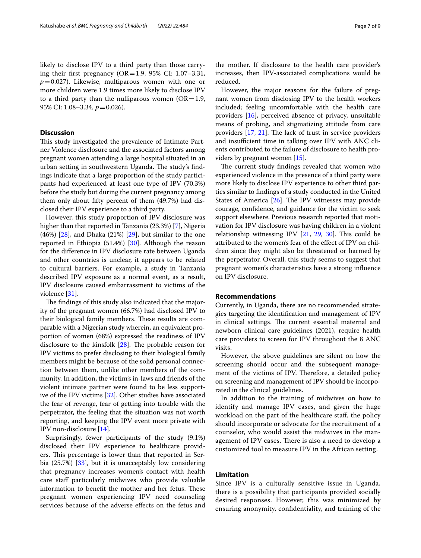likely to disclose IPV to a third party than those carrying their first pregnancy  $(OR=1.9, 95\% \text{ CI: } 1.07-3.31,$  $p=0.027$ ). Likewise, multiparous women with one or more children were 1.9 times more likely to disclose IPV to a third party than the nulliparous women  $(OR=1.9,$ 95% CI: 1.08–3.34, *p*=0.026).

#### **Discussion**

This study investigated the prevalence of Intimate Partner Violence disclosure and the associated factors among pregnant women attending a large hospital situated in an urban setting in southwestern Uganda. The study's findings indicate that a large proportion of the study participants had experienced at least one type of IPV (70.3%) before the study but during the current pregnancy among them only about ffty percent of them (49.7%) had disclosed their IPV experience to a third party.

However, this study proportion of IPV disclosure was higher than that reported in Tanzania (23.3%) [[7\]](#page-7-6), Nigeria (46%)  $[28]$ , and Dhaka (21%)  $[29]$  $[29]$  $[29]$ , but similar to the one reported in Ethiopia (51.4%) [\[30\]](#page-8-13). Although the reason for the diference in IPV disclosure rate between Uganda and other countries is unclear, it appears to be related to cultural barriers. For example, a study in Tanzania described IPV exposure as a normal event, as a result, IPV disclosure caused embarrassment to victims of the violence [[31\]](#page-8-14).

The findings of this study also indicated that the majority of the pregnant women (66.7%) had disclosed IPV to their biological family members. These results are comparable with a Nigerian study wherein, an equivalent proportion of women (68%) expressed the readiness of IPV disclosure to the kinsfolk  $[28]$  $[28]$ . The probable reason for IPV victims to prefer disclosing to their biological family members might be because of the solid personal connection between them, unlike other members of the community. In addition, the victim's in-laws and friends of the violent intimate partner were found to be less supportive of the IPV victims [\[32\]](#page-8-15). Other studies have associated the fear of revenge, fear of getting into trouble with the perpetrator, the feeling that the situation was not worth reporting, and keeping the IPV event more private with IPV non-disclosure [\[14](#page-7-13)].

Surprisingly, fewer participants of the study (9.1%) disclosed their IPV experience to healthcare providers. This percentage is lower than that reported in Serbia (25.7%) [\[33\]](#page-8-16), but it is unacceptably low considering that pregnancy increases women's contact with health care staff particularly midwives who provide valuable information to benefit the mother and her fetus. These pregnant women experiencing IPV need counseling services because of the adverse efects on the fetus and

the mother. If disclosure to the health care provider's increases, then IPV-associated complications would be reduced.

However, the major reasons for the failure of pregnant women from disclosing IPV to the health workers included; feeling uncomfortable with the health care providers [\[16](#page-7-15)], perceived absence of privacy, unsuitable means of probing, and stigmatizing attitude from care providers  $[17, 21]$  $[17, 21]$  $[17, 21]$  $[17, 21]$  $[17, 21]$ . The lack of trust in service providers and insufficient time in talking over IPV with ANC clients contributed to the failure of disclosure to health providers by pregnant women [\[15](#page-7-14)].

The current study findings revealed that women who experienced violence in the presence of a third party were more likely to disclose IPV experience to other third parties similar to fndings of a study conducted in the United States of America  $[26]$  $[26]$ . The IPV witnesses may provide courage, confdence, and guidance for the victim to seek support elsewhere. Previous research reported that motivation for IPV disclosure was having children in a violent relationship witnessing IPV  $[21, 29, 30]$  $[21, 29, 30]$  $[21, 29, 30]$  $[21, 29, 30]$  $[21, 29, 30]$ . This could be attributed to the women's fear of the efect of IPV on children since they might also be threatened or harmed by the perpetrator. Overall, this study seems to suggest that pregnant women's characteristics have a strong infuence on IPV disclosure.

## **Recommendations**

Currently, in Uganda, there are no recommended strategies targeting the identifcation and management of IPV in clinical settings. The current essential maternal and newborn clinical care guidelines (2021), require health care providers to screen for IPV throughout the 8 ANC visits.

However, the above guidelines are silent on how the screening should occur and the subsequent management of the victims of IPV. Therefore, a detailed policy on screening and management of IPV should be incorporated in the clinical guidelines.

In addition to the training of midwives on how to identify and manage IPV cases, and given the huge workload on the part of the healthcare staf, the policy should incorporate or advocate for the recruitment of a counselor, who would assist the midwives in the management of IPV cases. There is also a need to develop a customized tool to measure IPV in the African setting.

## **Limitation**

Since IPV is a culturally sensitive issue in Uganda, there is a possibility that participants provided socially desired responses. However, this was minimized by ensuring anonymity, confdentiality, and training of the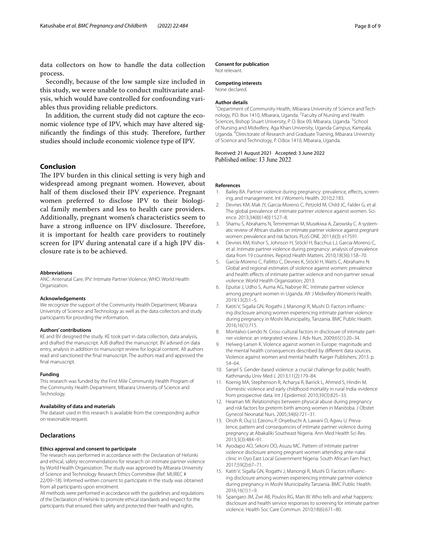data collectors on how to handle the data collection process.

Secondly, because of the low sample size included in this study, we were unable to conduct multivariate analysis, which would have controlled for confounding variables thus providing reliable predictors.

In addition, the current study did not capture the economic violence type of IPV, which may have altered significantly the findings of this study. Therefore, further studies should include economic violence type of IPV.

#### **Conclusion**

The IPV burden in this clinical setting is very high and widespread among pregnant women. However, about half of them disclosed their IPV experience. Pregnant women preferred to disclose IPV to their biological family members and less to health care providers. Additionally, pregnant women's characteristics seem to have a strong influence on IPV disclosure. Therefore, it is important for health care providers to routinely screen for IPV during antenatal care if a high IPV disclosure rate is to be achieved.

#### **Abbreviations**

ANC: Antenatal Care; IPV: Intimate Partner Violence; WHO: World Health Organization.

#### **Acknowledgements**

We recognize the support of the Community Health Department, Mbarara University of Science and Technology as well as the data collectors and study participants for providing the information.

#### **Authors' contributions**

KE and BV designed the study. KE took part in data collection, data analysis, and drafted the manuscript. AJB drafted the manuscript. BV advised on data entry, analysis in addition to manuscript review for logical content. All authors read and sanctioned the fnal manuscript. The authors read and approved the final manuscript.

#### **Funding**

This research was funded by the First Mile Community Health Program of the Community Health Department, Mbarara University of Science and Technology.

#### **Availability of data and materials**

The dataset used in this research is available from the corresponding author on reasonable request.

### **Declarations**

#### **Ethics approval and consent to participate**

The research was performed in accordance with the Declaration of Helsinki and ethical, safety recommendations for research on intimate partner violence by World Health Organization. The study was approved by Mbarara University of Science and Technology Research Ethics Committee (Ref: MUREC # 22/09–18). Informed written consent to participate in the study was obtained from all participants upon enrolment.

All methods were performed in accordance with the guidelines and regulations of the Declaration of Helsinki to promote ethical standards and respect for the participants that ensured their safety and protected their health and rights.

#### **Consent for publication**

Not relevant.

### **Competing interests**

None declared.

#### **Author details**

<sup>1</sup> Department of Community Health, Mbarara University of Science and Technology, P.O. Box 1410, Mbarara, Uganda. <sup>2</sup> Faculty of Nursing and Health Sciences, Bishop Stuart University, P.O. Box 09, Mbarara, Uganda. <sup>3</sup>School of Nursing and Midwifery, Aga Khan University, Uganda Campus, Kampala, Uganda. 4 Directorate of Research and Graduate Training, Mbarara University of Science and Technology, P. O.Box 1410, Mbarara, Uganda.

#### Received: 21 August 2021 Accepted: 3 June 2022 Published online: 13 June 2022

#### **References**

- <span id="page-7-0"></span>1. Bailey BA. Partner violence during pregnancy: prevalence, efects, screening, and management. Int J Women's Health. 2010;2:183.
- <span id="page-7-1"></span>2. Devries KM, Mak JY, Garcia-Moreno C, Petzold M, Child JC, Falder G, et al. The global prevalence of intimate partner violence against women. Science. 2013;340(6140):1527–8.
- <span id="page-7-2"></span>3. Shamu S, Abrahams N, Temmerman M, Musekiwa A, Zarowsky C. A systematic review of African studies on intimate partner violence against pregnant women: prevalence and risk factors. PLoS ONE. 2011;6(3): e17591.
- <span id="page-7-3"></span>4. Devries KM, Kishor S, Johnson H, Stöckl H, Bacchus LJ, Garcia-Moreno C, et al. Intimate partner violence during pregnancy: analysis of prevalence data from 19 countries. Reprod Health Matters. 2010;18(36):158–70.
- <span id="page-7-4"></span>5. García-Moreno C, Pallitto C, Devries K, Stöckl H, Watts C, Abrahams N. Global and regional estimates of violence against women: prevalence and health effects of intimate partner violence and non-partner sexual violence: World Health Organization; 2013.
- <span id="page-7-5"></span>6. Epuitai J, Udho S, Auma AG, Nabirye RC. Intimate partner violence among pregnant women in Uganda. Afr J Midwifery Women's Health. 2019;13(2):1–5.
- <span id="page-7-6"></span>7. Katiti V, Sigalla GN, Rogathi J, Manongi R, Mushi D. Factors infuencing disclosure among women experiencing intimate partner violence during pregnancy in Moshi Municipality, Tanzania. BMC Public Health. 2016;16(1):715.
- <span id="page-7-7"></span>8. Montalvo-Liendo N. Cross-cultural factors in disclosure of intimate partner violence: an integrated review. J Adv Nurs. 2009;65(1):20–34.
- <span id="page-7-8"></span>9. Helweg-Larsen K. Violence against women in Europe: magnitude and the mental health consequences described by diferent data sources. Violence against women and mental health: Karger Publishers; 2013. p. 54–64.
- <span id="page-7-9"></span>10. Sanjel S. Gender-based violence: a crucial challenge for public health. Kathmandu Univ Med J. 2013;11(2):179–84.
- <span id="page-7-10"></span>11. Koenig MA, Stephenson R, Acharya R, Barrick L, Ahmed S, Hindin M. Domestic violence and early childhood mortality in rural India: evidence from prospective data. Int J Epidemiol. 2010;39(3):825–33.
- <span id="page-7-11"></span>12. Heaman MI. Relationships between physical abuse during pregnancy and risk factors for preterm birth among women in Manitoba. J Obstet Gynecol Neonatal Nurs. 2005;34(6):721–31.
- <span id="page-7-12"></span>13. Onoh R, Ouj U, Ezeonu P, Onyebuchi A, Lawani O, Agwu U. Prevalence, pattern and consequences of intimate partner violence during pregnancy at Abakaliki Southeast Nigeria. Ann Med Health Sci Res. 2013;3(3):484–91.
- <span id="page-7-13"></span>14. Ayodapo AO, Sekoni OO, Asuzu MC. Pattern of intimate partner violence disclosure among pregnant women attending ante-natal clinic in Oyo East Local Government Nigeria. South African Fam Pract. 2017;59(2):67–71.
- <span id="page-7-14"></span>15. Katiti V, Sigalla GN, Rogathi J, Manongi R, Mushi D. Factors infuencing disclosure among women experiencing intimate partner violence during pregnancy in Moshi Municipality Tanzania. BMC Public Health. 2016;16(1):1–9.
- <span id="page-7-15"></span>16. Spangaro JM, Zwi AB, Poulos RG, Man W. Who tells and what happens: disclosure and health service responses to screening for intimate partner violence. Health Soc Care Commun. 2010;18(6):671–80.